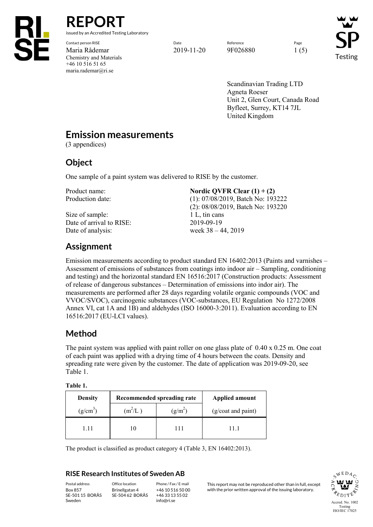

**REPORT** issued by an Accredited Testing Laboratory

Contact person RISE Page Reference Reference Reference Page Reference Page Reference Page Reference Reference Page Maria Rådemar 2019-11-20 9F026880 1 (5) Chemistry and Materials +46 10 516 51 65 maria.rademar@ri.se

Testing

Scandinavian Trading LTD Agneta Roeser Unit 2, Glen Court, Canada Road Byfleet, Surrey, KT14 7JL United Kingdom

## **Emission measurements**

(3 appendices)

### **Object**

One sample of a paint system was delivered to RISE by the customer.

Size of sample: 1 L, tin cans Date of arrival to RISE:<br>Date of analysis:<br> $2019-09-19$ <br>week  $38-4$ 

Product name: **Nordic QVFR Clear (1) + (2)** 

Production date: (1): 07/08/2019, Batch No: 193222 (2): 08/08/2019, Batch No: 193220 week  $38 - 44$ , 2019

# **Assignment**

Emission measurements according to product standard EN 16402:2013 (Paints and varnishes – Assessment of emissions of substances from coatings into indoor air – Sampling, conditioning and testing) and the horizontal standard EN 16516:2017 (Construction products: Assessment of release of dangerous substances – Determination of emissions into indor air). The measurements are performed after 28 days regarding volatile organic compounds (VOC and VVOC/SVOC), carcinogenic substances (VOC-substances, EU Regulation No 1272/2008 Annex VI, cat 1A and 1B) and aldehydes (ISO 16000-3:2011). Evaluation according to EN 16516:2017 (EU-LCI values).

## **Method**

The paint system was applied with paint roller on one glass plate of 0.40 x 0.25 m. One coat of each paint was applied with a drying time of 4 hours between the coats. Density and spreading rate were given by the customer. The date of application was 2019-09-20, see Table 1.

#### **Table 1.**

| <b>Density</b> | Recommended spreading rate |                     | Applied amount     |
|----------------|----------------------------|---------------------|--------------------|
| $(g/cm^3)$     | $(m^2/L)$                  | (g/m <sup>2</sup> ) | (g/coat and paint) |
| 1.11           |                            | 111                 | 11 1               |

The product is classified as product category 4 (Table 3, EN 16402:2013).

#### **RISE Research Institutes of Sweden AB**

SE-501 15 BORÅS Sweden

Brinellgatan 4 SE-504 62 BORÅS

+46 10 516 50 00 +46 33 13 55 02 info@ri.se

Postal address Office location Phone / Fax / E-mail This report may not be reproduced other than in full, except<br>Box 857 Brinellgatan 4 +46 10 516 50 00 with the prior written approval of the issuing laboratory. with the prior written approval of the issuing laboratory.

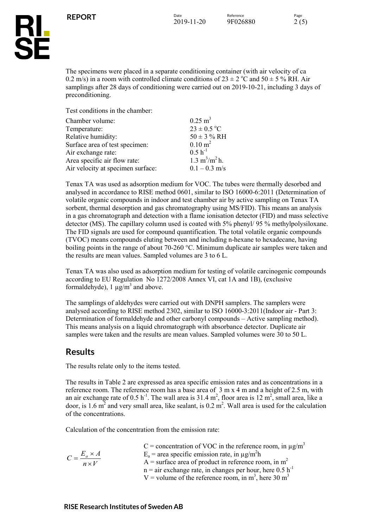

The specimens were placed in a separate conditioning container (with air velocity of ca 0.2 m/s) in a room with controlled climate conditions of  $23 \pm 2$  °C and  $50 \pm 5$  ° RH. Air samplings after 28 days of conditioning were carried out on 2019-10-21, including 3 days of preconditioning.

Test conditions in the chamber:

| Chamber volume:                   | $0.25 \text{ m}^3$                      |
|-----------------------------------|-----------------------------------------|
| Temperature:                      | $23 \pm 0.5$ °C                         |
| Relative humidity:                | $50 \pm 3 \%$ RH                        |
| Surface area of test specimen:    | $0.10 \text{ m}^2$                      |
| Air exchange rate:                | $0.5 h^{-1}$                            |
| Area specific air flow rate:      | $1.3 \text{ m}^3/\text{m}^2 \text{h}$ . |
| Air velocity at specimen surface: | $0.1 - 0.3$ m/s                         |

Tenax TA was used as adsorption medium for VOC. The tubes were thermally desorbed and analysed in accordance to RISE method 0601, similar to ISO 16000-6:2011 (Determination of volatile organic compounds in indoor and test chamber air by active sampling on Tenax TA sorbent, thermal desorption and gas chromatography using MS/FID). This means an analysis in a gas chromatograph and detection with a flame ionisation detector (FID) and mass selective detector (MS). The capillary column used is coated with 5% phenyl/ 95 % methylpolysiloxane. The FID signals are used for compound quantification. The total volatile organic compounds (TVOC) means compounds eluting between and including n-hexane to hexadecane, having boiling points in the range of about 70-260 °C. Minimum duplicate air samples were taken and the results are mean values. Sampled volumes are 3 to 6 L.

Tenax TA was also used as adsorption medium for testing of volatile carcinogenic compounds according to EU Regulation No 1272/2008 Annex VI, cat 1A and 1B), (exclusive formaldehyde),  $1 \mu g/m^3$  and above.

The samplings of aldehydes were carried out with DNPH samplers. The samplers were analysed according to RISE method 2302, similar to ISO 16000-3:2011(Indoor air - Part 3: Determination of formaldehyde and other carbonyl compounds – Active sampling method). This means analysis on a liquid chromatograph with absorbance detector. Duplicate air samples were taken and the results are mean values. Sampled volumes were 30 to 50 L.

### **Results**

The results relate only to the items tested.

The results in Table 2 are expressed as area specific emission rates and as concentrations in a reference room. The reference room has a base area of 3 m x 4 m and a height of 2.5 m, with an air exchange rate of  $0.5 \text{ h}^{-1}$ . The wall area is  $31.4 \text{ m}^2$ , floor area is  $12 \text{ m}^2$ , small area, like a door, is 1.6  $m<sup>2</sup>$  and very small area, like sealant, is 0.2  $m<sup>2</sup>$ . Wall area is used for the calculation of the concentrations.

Calculation of the concentration from the emission rate:

|                              | C = concentration of VOC in the reference room, in $\mu$ g/m <sup>3</sup> |
|------------------------------|---------------------------------------------------------------------------|
| $C = \frac{E_a \times A}{4}$ | $E_a$ = area specific emission rate, in $\mu$ g/m <sup>2</sup> h          |
| $n \times V$                 | $A =$ surface area of product in reference room, in m <sup>2</sup>        |
|                              | $n =$ air exchange rate, in changes per hour, here 0.5 h <sup>-1</sup>    |
|                              | V = volume of the reference room, in $m^3$ , here 30 m <sup>3</sup>       |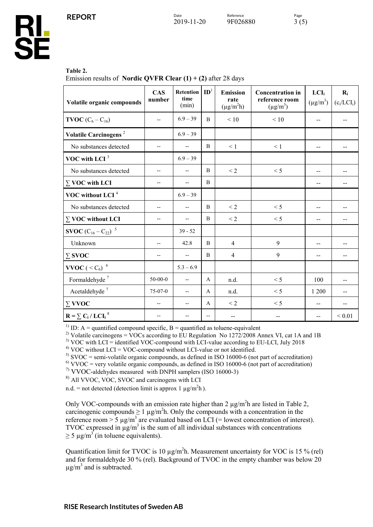#### **Table 2.**

**HL<br>SE** 

Emission results of **Nordic QVFR Clear (1) + (2)** after 28 days

| Volatile organic compounds                                           | <b>CAS</b><br>number     | Retention<br>time<br>(min) | $\mathbf{ID}^1$          | <b>Emission</b><br>rate<br>$(\mu g/m^2 h)$ | <b>Concentration in</b><br>reference room<br>$(\mu g/m^3)$ | LCI <sub>i</sub><br>$(\mu g/m^3)$ | $R_i$<br>$(c_i / LCI_i)$ |
|----------------------------------------------------------------------|--------------------------|----------------------------|--------------------------|--------------------------------------------|------------------------------------------------------------|-----------------------------------|--------------------------|
| <b>TVOC</b> $(C_6 - C_{16})$                                         | $-$                      | $6.9 - 39$                 | $\mathbf{B}$             | < 10                                       | < 10                                                       | $-$                               |                          |
| Volatile Carcinogens <sup>2</sup>                                    |                          | $6.9 - 39$                 |                          |                                            |                                                            |                                   |                          |
| No substances detected                                               | --                       | $\overline{\phantom{a}}$   | B                        | $\leq 1$                                   | $\leq 1$                                                   | $-$                               |                          |
| VOC with LCI $3$                                                     |                          | $6.9 - 39$                 |                          |                                            |                                                            |                                   |                          |
| No substances detected                                               | $- -$                    | --                         | B                        | $<$ 2                                      | < 5                                                        | $\overline{a}$                    |                          |
| $\Sigma$ VOC with LCI                                                | --                       | --                         | B                        |                                            |                                                            | $-$                               |                          |
| VOC without LCI <sup>4</sup>                                         |                          | $6.9 - 39$                 |                          |                                            |                                                            |                                   |                          |
| No substances detected                                               | --                       | --                         | B                        | $\leq$ 2                                   | < 5                                                        | $-$                               |                          |
| $\Sigma$ VOC without LCI                                             | $- -$                    | $\overline{\phantom{a}}$   | B                        | $\leq$ 2                                   | < 5                                                        | $-$                               |                          |
| <b>SVOC</b> $(C_{16} - C_{22})^{-5}$                                 |                          | $39 - 52$                  |                          |                                            |                                                            |                                   |                          |
| Unknown                                                              | $\overline{\phantom{a}}$ | 42.8                       | B                        | $\overline{4}$                             | 9                                                          | $-$                               | --                       |
| $\sum\textbf{SVOC}$                                                  | $- -$                    | $\overline{\phantom{a}}$   | B                        | $\overline{4}$                             | 9                                                          | $-$                               | --                       |
| VVOC ( $\leq$ C <sub>6</sub> ) $^6$                                  |                          | $5.3 - 6.9$                |                          |                                            |                                                            |                                   |                          |
| Formaldehyde <sup>7</sup>                                            | $50 - 00 - 0$            | $\overline{\phantom{a}}$   | A                        | n.d.                                       | < 5                                                        | 100                               |                          |
| Acetaldehyde $^7\,$                                                  | 75-07-0                  | $-$                        | A                        | n.d.                                       | < 5                                                        | 1 200                             |                          |
| $\Sigma$ VVOC                                                        |                          | --                         | A                        | $\leq$ 2                                   | < 5                                                        | --                                |                          |
| $\mathbf{R} = \sum_{i} \mathbf{C}_i / L \mathbf{C} \mathbf{I}_i^{8}$ |                          |                            | $\overline{\phantom{a}}$ |                                            |                                                            |                                   | ${}< 0.01$               |

<sup>1)</sup> ID: A = quantified compound specific, B = quantified as toluene-equivalent<br><sup>2)</sup> Volatile carcinogens = VOCs according to EU Regulation No 1272/2008 Annex VI, cat 1A and 1B

<sup>3)</sup> VOC with LCI = identified VOC-compound with LCI-value according to EU-LCI, July 2018<br><sup>4)</sup> VOC without LCI = VOC-compound without LCI-value or not identified.<br><sup>5)</sup> SVOC = semi-volatile organic compounds, as defined in

7) VVOC-aldehydes measured with DNPH samplers (ISO 16000-3)

8) All VVOC, VOC, SVOC and carcinogens with LCI

n.d. = not detected (detection limit is approx 1  $\mu$ g/m<sup>2</sup>h).

Only VOC-compounds with an emission rate higher than  $2 \mu g/m^2 h$  are listed in Table 2, carcinogenic compounds  $\geq 1 \mu g/m^2 h$ . Only the compounds with a concentration in the reference room  $> 5 \mu g/m^3$  are evaluated based on LCI (= lowest concentration of interest). TVOC expressed in  $\mu$ g/m<sup>3</sup> is the sum of all individual substances with concentrations  $\geq$  5 µg/m<sup>3</sup> (in toluene equivalents).

Quantification limit for TVOC is 10  $\mu$ g/m<sup>2</sup>h. Measurement uncertainty for VOC is 15 % (rel) and for formaldehyde 30 % (rel). Background of TVOC in the empty chamber was below 20  $\mu$ g/m<sup>3</sup> and is subtracted.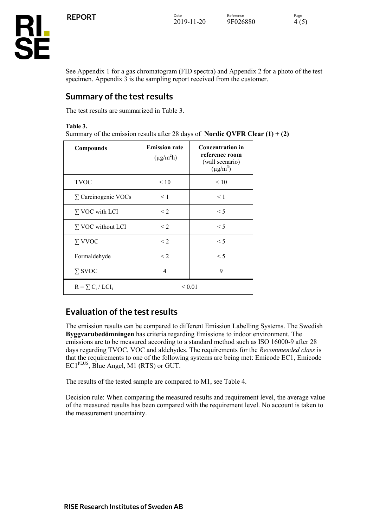

See Appendix 1 for a gas chromatogram (FID spectra) and Appendix 2 for a photo of the test specimen. Appendix 3 is the sampling report received from the customer.

## **Summary of the test results**

The test results are summarized in Table 3.

**Table 3.**

Summary of the emission results after 28 days of **Nordic QVFR Clear (1) + (2)** 

| Compounds                  | <b>Emission rate</b><br>$(\mu g/m^2 h)$ | <b>Concentration in</b><br>reference room<br>(wall scenario)<br>$(\mu g/m^3)$ |
|----------------------------|-----------------------------------------|-------------------------------------------------------------------------------|
| <b>TVOC</b>                | < 10                                    | < 10                                                                          |
| $\Sigma$ Carcinogenic VOCs | $\leq 1$                                | $\leq 1$                                                                      |
| $\Sigma$ VOC with LCI      | $\leq$ 2                                | $\leq 5$                                                                      |
| $\Sigma$ VOC without LCI   | $\leq$ 2                                | $\leq 5$                                                                      |
| $\Sigma$ VVOC              | $\leq$ 2                                | $\leq 5$                                                                      |
| Formaldehyde               | $<$ 2                                   | $\leq 5$                                                                      |
| $\Sigma$ SVOC              | 4                                       | 9                                                                             |
| $R = \sum_{i} C_i / LCI_i$ |                                         | ${}_{0.01}$                                                                   |

## **Evaluation of the test results**

The emission results can be compared to different Emission Labelling Systems. The Swedish **Byggvarubedömningen** has criteria regarding Emissions to indoor environment. The emissions are to be measured according to a standard method such as ISO 16000-9 after 28 days regarding TVOC, VOC and aldehydes. The requirements for the *Recommended class* is that the requirements to one of the following systems are being met: Emicode EC1, Emicode EC1PLUS, Blue Angel, M1 (RTS) or GUT.

The results of the tested sample are compared to M1, see Table 4.

Decision rule: When comparing the measured results and requirement level, the average value of the measured results has been compared with the requirement level. No account is taken to the measurement uncertainty.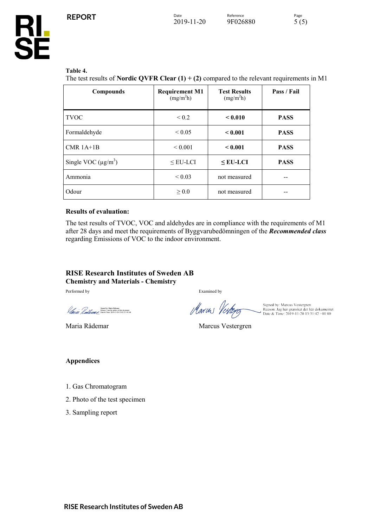

#### **Table 4.**

The test results of **Nordic QVFR Clear (1) + (2)** compared to the relevant requirements in M1

| Compounds                | <b>Requirement M1</b><br>(mg/m <sup>2</sup> h) | <b>Test Results</b><br>(mg/m <sup>2</sup> h) | Pass / Fail |
|--------------------------|------------------------------------------------|----------------------------------------------|-------------|
| <b>TVOC</b>              | ${}_{0.2}$                                     | < 0.010                                      | <b>PASS</b> |
| Formaldehyde             | ${}_{0.05}$                                    | < 0.001                                      | <b>PASS</b> |
| $CMR$ 1A+1B              | ${}_{0.001}$                                   | < 0.001                                      | <b>PASS</b> |
| Single VOC $(\mu g/m^3)$ | $\leq$ EU-LCI                                  | $<$ EU-LCI                                   | <b>PASS</b> |
| Ammonia                  | ${}_{0.03}$                                    | not measured                                 |             |
| Odour                    | > 0.0                                          | not measured                                 |             |

#### **Results of evaluation:**

The test results of TVOC, VOC and aldehydes are in compliance with the requirements of M1 after 28 days and meet the requirements of Byggvarubedömningen of the *Recommended class* regarding Emissions of VOC to the indoor environment.

#### **RISE Research Institutes of Sweden AB Chemistry and Materials - Chemistry**

Performed by Examined by Examined by

Signed by, Maria Ristenae<br>Reason: 1 am the author of this document<br> $\mathcal{L}_{\text{eff}}$ <br>Date & Time: 2019-11-20 13:05:23 +01:00

Signed by: Marcus Vestergren<br>Marcus 1 Perfleyer Reason: Jag har granskat det här dokumentet

Maria Rådemar Marcus Vestergren

#### **Appendices**

- 1. Gas Chromatogram
- 2. Photo of the test specimen
- 3. Sampling report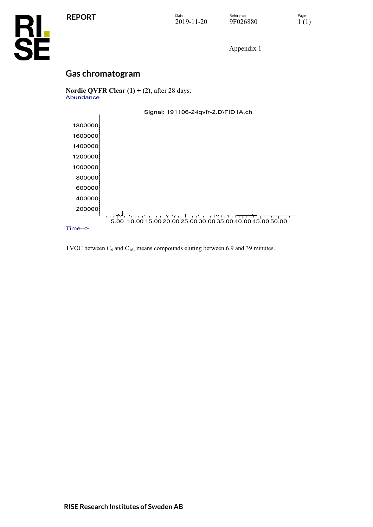

Appendix 1

# **Gas chromatogram**

**Nordic QVFR Clear (1) + (2)**, after 28 days: Abundance

|          | Signal: 191106-24qvfr-2.D\FID1A.ch                         |
|----------|------------------------------------------------------------|
| 1800000  |                                                            |
| 1600000  |                                                            |
| 1400000  |                                                            |
| 1200000  |                                                            |
| 1000000  |                                                            |
| 800000   |                                                            |
| 600000   |                                                            |
| 400000   |                                                            |
| 200000   |                                                            |
|          | 5.00 10.00 15.00 20.00 25.00 30.00 35.00 40.00 45.00 50.00 |
| $Time--$ |                                                            |

TVOC between  $C_6$  and  $C_{16}$ , means compounds eluting between 6.9 and 39 minutes.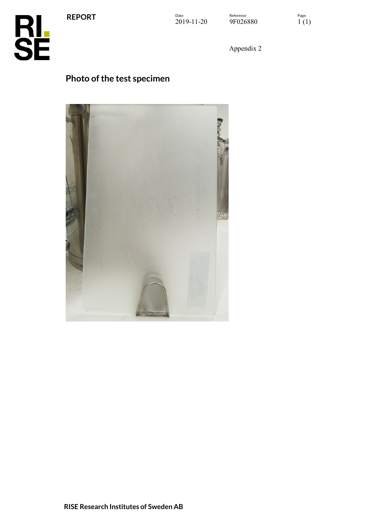**REPORT**

**RL<br>SE** 

Appendix 2

# **Photo of the test specimen**